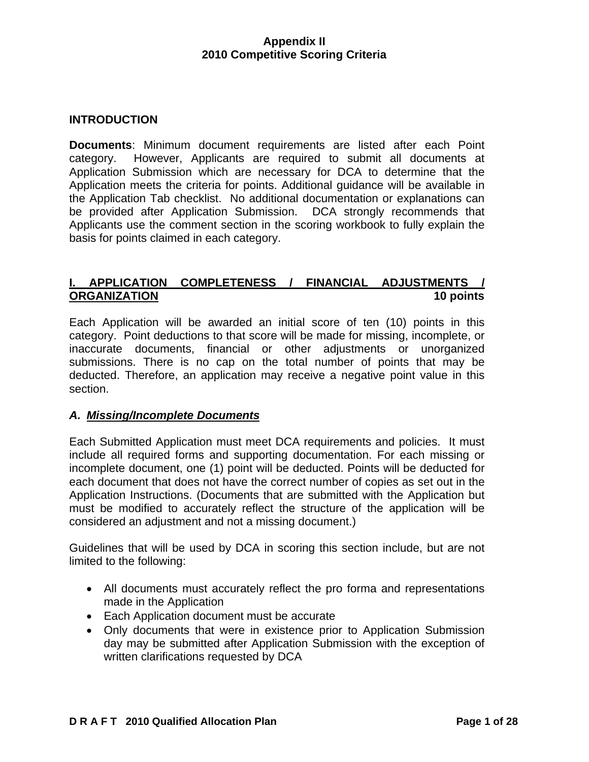#### **INTRODUCTION**

**Documents**: Minimum document requirements are listed after each Point category. However, Applicants are required to submit all documents at Application Submission which are necessary for DCA to determine that the Application meets the criteria for points. Additional guidance will be available in the Application Tab checklist. No additional documentation or explanations can be provided after Application Submission. DCA strongly recommends that Applicants use the comment section in the scoring workbook to fully explain the basis for points claimed in each category.

# **I. APPLICATION COMPLETENESS / FINANCIAL ADJUSTMENTS / ORGANIZATION** 10 points

Each Application will be awarded an initial score of ten (10) points in this category. Point deductions to that score will be made for missing, incomplete, or inaccurate documents, financial or other adjustments or unorganized submissions. There is no cap on the total number of points that may be deducted. Therefore, an application may receive a negative point value in this section.

#### *A. Missing/Incomplete Documents*

Each Submitted Application must meet DCA requirements and policies. It must include all required forms and supporting documentation. For each missing or incomplete document, one (1) point will be deducted. Points will be deducted for each document that does not have the correct number of copies as set out in the Application Instructions. (Documents that are submitted with the Application but must be modified to accurately reflect the structure of the application will be considered an adjustment and not a missing document.)

Guidelines that will be used by DCA in scoring this section include, but are not limited to the following:

- All documents must accurately reflect the pro forma and representations made in the Application
- Each Application document must be accurate
- Only documents that were in existence prior to Application Submission day may be submitted after Application Submission with the exception of written clarifications requested by DCA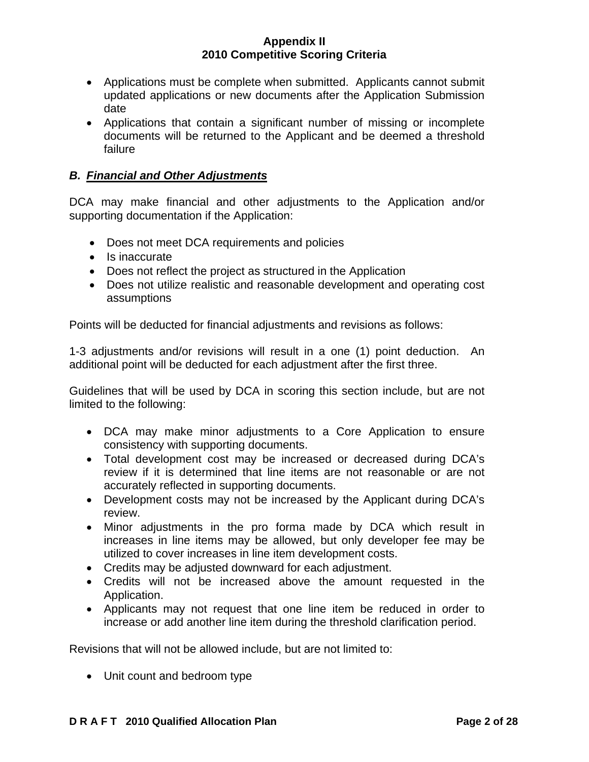- Applications must be complete when submitted. Applicants cannot submit updated applications or new documents after the Application Submission date
- Applications that contain a significant number of missing or incomplete documents will be returned to the Applicant and be deemed a threshold failure

### *B. Financial and Other Adjustments*

DCA may make financial and other adjustments to the Application and/or supporting documentation if the Application:

- Does not meet DCA requirements and policies
- Is inaccurate
- Does not reflect the project as structured in the Application
- Does not utilize realistic and reasonable development and operating cost assumptions

Points will be deducted for financial adjustments and revisions as follows:

1-3 adjustments and/or revisions will result in a one (1) point deduction. An additional point will be deducted for each adjustment after the first three.

Guidelines that will be used by DCA in scoring this section include, but are not limited to the following:

- DCA may make minor adjustments to a Core Application to ensure consistency with supporting documents.
- Total development cost may be increased or decreased during DCA's review if it is determined that line items are not reasonable or are not accurately reflected in supporting documents.
- Development costs may not be increased by the Applicant during DCA's review.
- Minor adjustments in the pro forma made by DCA which result in increases in line items may be allowed, but only developer fee may be utilized to cover increases in line item development costs.
- Credits may be adjusted downward for each adjustment.
- Credits will not be increased above the amount requested in the Application.
- Applicants may not request that one line item be reduced in order to increase or add another line item during the threshold clarification period.

Revisions that will not be allowed include, but are not limited to:

• Unit count and bedroom type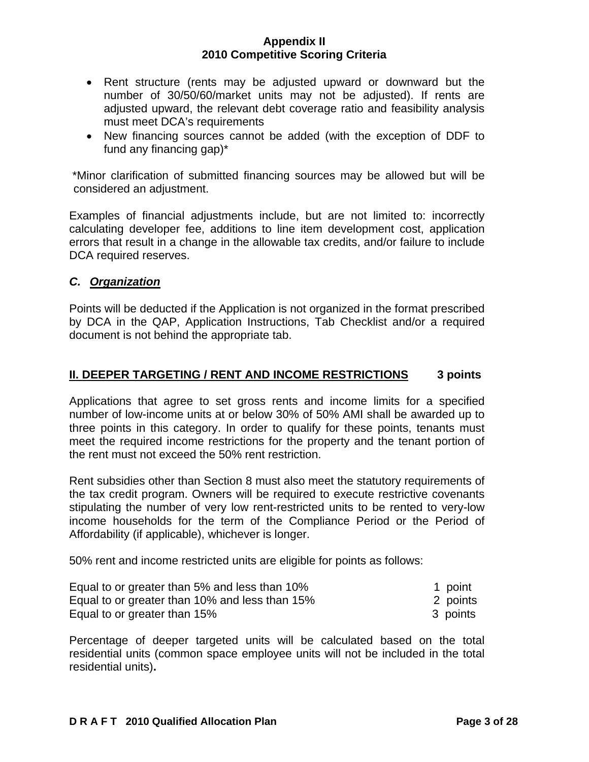- Rent structure (rents may be adjusted upward or downward but the number of 30/50/60/market units may not be adjusted). If rents are adjusted upward, the relevant debt coverage ratio and feasibility analysis must meet DCA's requirements
- New financing sources cannot be added (with the exception of DDF to fund any financing gap)\*

 \*Minor clarification of submitted financing sources may be allowed but will be considered an adjustment.

Examples of financial adjustments include, but are not limited to: incorrectly calculating developer fee, additions to line item development cost, application errors that result in a change in the allowable tax credits, and/or failure to include DCA required reserves.

## *C. Organization*

Points will be deducted if the Application is not organized in the format prescribed by DCA in the QAP, Application Instructions, Tab Checklist and/or a required document is not behind the appropriate tab.

## **II. DEEPER TARGETING / RENT AND INCOME RESTRICTIONS 3 points**

Applications that agree to set gross rents and income limits for a specified number of low-income units at or below 30% of 50% AMI shall be awarded up to three points in this category. In order to qualify for these points, tenants must meet the required income restrictions for the property and the tenant portion of the rent must not exceed the 50% rent restriction.

Rent subsidies other than Section 8 must also meet the statutory requirements of the tax credit program. Owners will be required to execute restrictive covenants stipulating the number of very low rent-restricted units to be rented to very-low income households for the term of the Compliance Period or the Period of Affordability (if applicable), whichever is longer.

50% rent and income restricted units are eligible for points as follows:

| Equal to or greater than 5% and less than 10%  | 1 point  |
|------------------------------------------------|----------|
| Equal to or greater than 10% and less than 15% | 2 points |
| Equal to or greater than 15%                   | 3 points |

Percentage of deeper targeted units will be calculated based on the total residential units (common space employee units will not be included in the total residential units)**.**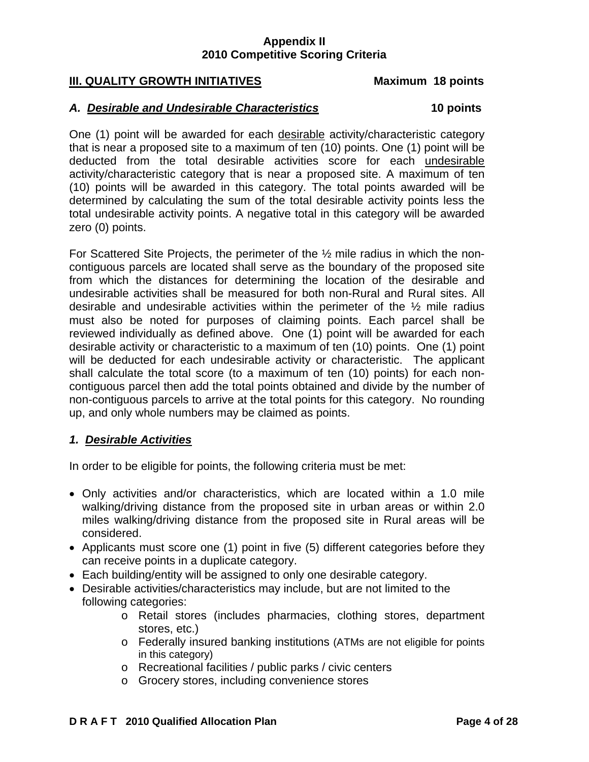## **III. QUALITY GROWTH INITIATIVES****Maximum 18 points**

#### *A. Desirable and Undesirable Characteristics* **10 points**

One (1) point will be awarded for each desirable activity/characteristic category that is near a proposed site to a maximum of ten (10) points. One (1) point will be deducted from the total desirable activities score for each undesirable activity/characteristic category that is near a proposed site. A maximum of ten (10) points will be awarded in this category. The total points awarded will be determined by calculating the sum of the total desirable activity points less the total undesirable activity points. A negative total in this category will be awarded zero (0) points.

For Scattered Site Projects, the perimeter of the ½ mile radius in which the noncontiguous parcels are located shall serve as the boundary of the proposed site from which the distances for determining the location of the desirable and undesirable activities shall be measured for both non-Rural and Rural sites. All desirable and undesirable activities within the perimeter of the ½ mile radius must also be noted for purposes of claiming points. Each parcel shall be reviewed individually as defined above. One (1) point will be awarded for each desirable activity or characteristic to a maximum of ten (10) points. One (1) point will be deducted for each undesirable activity or characteristic. The applicant shall calculate the total score (to a maximum of ten (10) points) for each noncontiguous parcel then add the total points obtained and divide by the number of non-contiguous parcels to arrive at the total points for this category. No rounding up, and only whole numbers may be claimed as points.

#### *1. Desirable Activities*

In order to be eligible for points, the following criteria must be met:

- Only activities and/or characteristics, which are located within a 1.0 mile walking/driving distance from the proposed site in urban areas or within 2.0 miles walking/driving distance from the proposed site in Rural areas will be considered.
- Applicants must score one (1) point in five (5) different categories before they can receive points in a duplicate category.
- Each building/entity will be assigned to only one desirable category.
- Desirable activities/characteristics may include, but are not limited to the following categories:
	- o Retail stores (includes pharmacies, clothing stores, department stores, etc.)
	- o Federally insured banking institutions (ATMs are not eligible for points in this category)
	- o Recreational facilities / public parks / civic centers
	- o Grocery stores, including convenience stores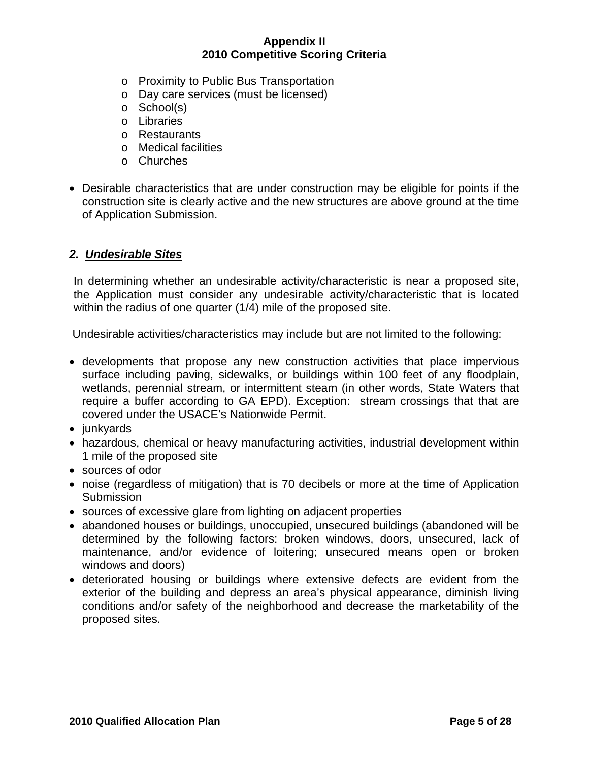- o Proximity to Public Bus Transportation
- o Day care services (must be licensed)
- o School(s)
- o Libraries
- o Restaurants
- o Medical facilities
- o Churches
- Desirable characteristics that are under construction may be eligible for points if the construction site is clearly active and the new structures are above ground at the time of Application Submission.

## *2. Undesirable Sites*

In determining whether an undesirable activity/characteristic is near a proposed site, the Application must consider any undesirable activity/characteristic that is located within the radius of one quarter (1/4) mile of the proposed site.

Undesirable activities/characteristics may include but are not limited to the following:

- developments that propose any new construction activities that place impervious surface including paving, sidewalks, or buildings within 100 feet of any floodplain, wetlands, perennial stream, or intermittent steam (in other words, State Waters that require a buffer according to GA EPD). Exception: stream crossings that that are covered under the USACE's Nationwide Permit.
- junkyards
- hazardous, chemical or heavy manufacturing activities, industrial development within 1 mile of the proposed site
- sources of odor
- noise (regardless of mitigation) that is 70 decibels or more at the time of Application **Submission**
- sources of excessive glare from lighting on adjacent properties
- abandoned houses or buildings, unoccupied, unsecured buildings (abandoned will be determined by the following factors: broken windows, doors, unsecured, lack of maintenance, and/or evidence of loitering; unsecured means open or broken windows and doors)
- deteriorated housing or buildings where extensive defects are evident from the exterior of the building and depress an area's physical appearance, diminish living conditions and/or safety of the neighborhood and decrease the marketability of the proposed sites.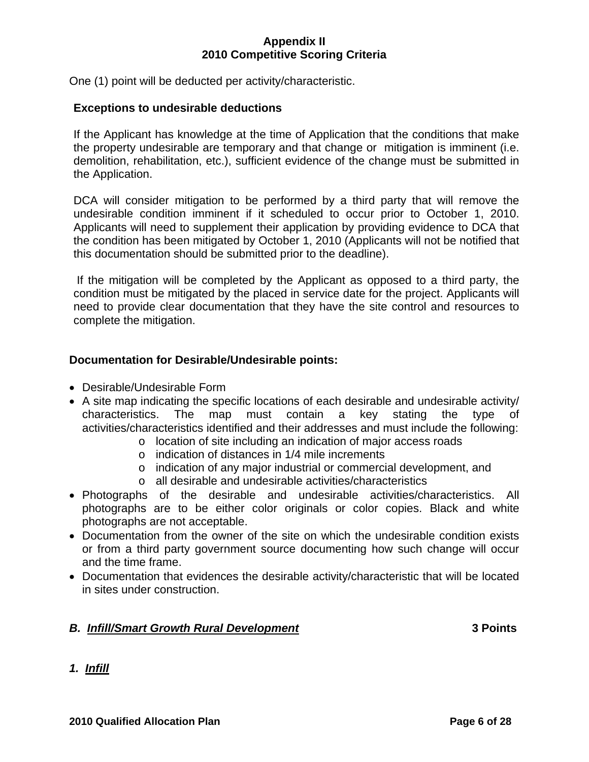One (1) point will be deducted per activity/characteristic.

#### **Exceptions to undesirable deductions**

If the Applicant has knowledge at the time of Application that the conditions that make the property undesirable are temporary and that change or mitigation is imminent (i.e. demolition, rehabilitation, etc.), sufficient evidence of the change must be submitted in the Application.

DCA will consider mitigation to be performed by a third party that will remove the undesirable condition imminent if it scheduled to occur prior to October 1, 2010. Applicants will need to supplement their application by providing evidence to DCA that the condition has been mitigated by October 1, 2010 (Applicants will not be notified that this documentation should be submitted prior to the deadline).

 If the mitigation will be completed by the Applicant as opposed to a third party, the condition must be mitigated by the placed in service date for the project. Applicants will need to provide clear documentation that they have the site control and resources to complete the mitigation.

### **Documentation for Desirable/Undesirable points:**

- Desirable/Undesirable Form
- A site map indicating the specific locations of each desirable and undesirable activity/ characteristics. The map must contain a key stating the type of activities/characteristics identified and their addresses and must include the following:
	- o location of site including an indication of major access roads
		- o indication of distances in 1/4 mile increments
		- o indication of any major industrial or commercial development, and
		- o all desirable and undesirable activities/characteristics
- Photographs of the desirable and undesirable activities/characteristics. All photographs are to be either color originals or color copies. Black and white photographs are not acceptable.
- Documentation from the owner of the site on which the undesirable condition exists or from a third party government source documenting how such change will occur and the time frame.
- Documentation that evidences the desirable activity/characteristic that will be located in sites under construction.

#### *B. Infill/Smart Growth Rural Development* **3 Points**

*1. Infill*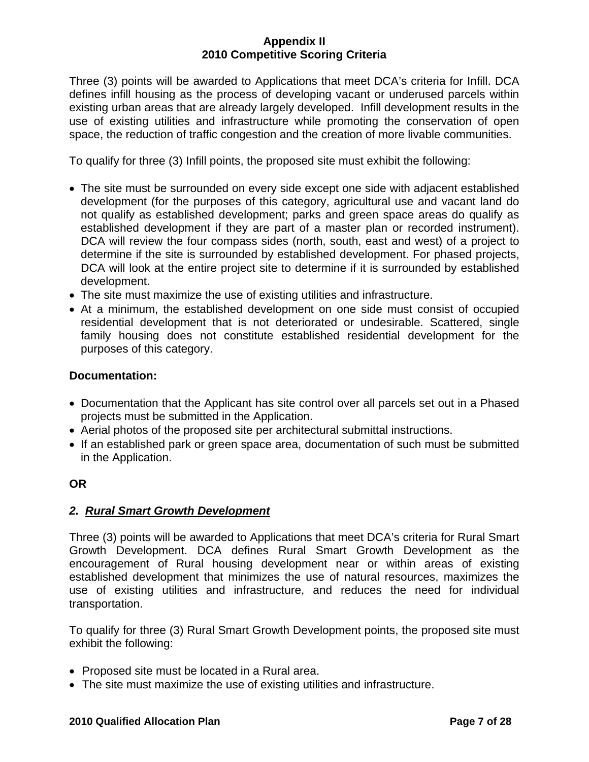Three (3) points will be awarded to Applications that meet DCA's criteria for Infill. DCA defines infill housing as the process of developing vacant or underused parcels within existing urban areas that are already largely developed. Infill development results in the use of existing utilities and infrastructure while promoting the conservation of open space, the reduction of traffic congestion and the creation of more livable communities.

To qualify for three (3) Infill points, the proposed site must exhibit the following:

- The site must be surrounded on every side except one side with adjacent established development (for the purposes of this category, agricultural use and vacant land do not qualify as established development; parks and green space areas do qualify as established development if they are part of a master plan or recorded instrument). DCA will review the four compass sides (north, south, east and west) of a project to determine if the site is surrounded by established development. For phased projects, DCA will look at the entire project site to determine if it is surrounded by established development.
- The site must maximize the use of existing utilities and infrastructure.
- At a minimum, the established development on one side must consist of occupied residential development that is not deteriorated or undesirable. Scattered, single family housing does not constitute established residential development for the purposes of this category.

## **Documentation:**

- Documentation that the Applicant has site control over all parcels set out in a Phased projects must be submitted in the Application.
- Aerial photos of the proposed site per architectural submittal instructions.
- If an established park or green space area, documentation of such must be submitted in the Application.

## **OR**

# *2. Rural Smart Growth Development*

Three (3) points will be awarded to Applications that meet DCA's criteria for Rural Smart Growth Development. DCA defines Rural Smart Growth Development as the encouragement of Rural housing development near or within areas of existing established development that minimizes the use of natural resources, maximizes the use of existing utilities and infrastructure, and reduces the need for individual transportation.

To qualify for three (3) Rural Smart Growth Development points, the proposed site must exhibit the following:

- Proposed site must be located in a Rural area.
- The site must maximize the use of existing utilities and infrastructure.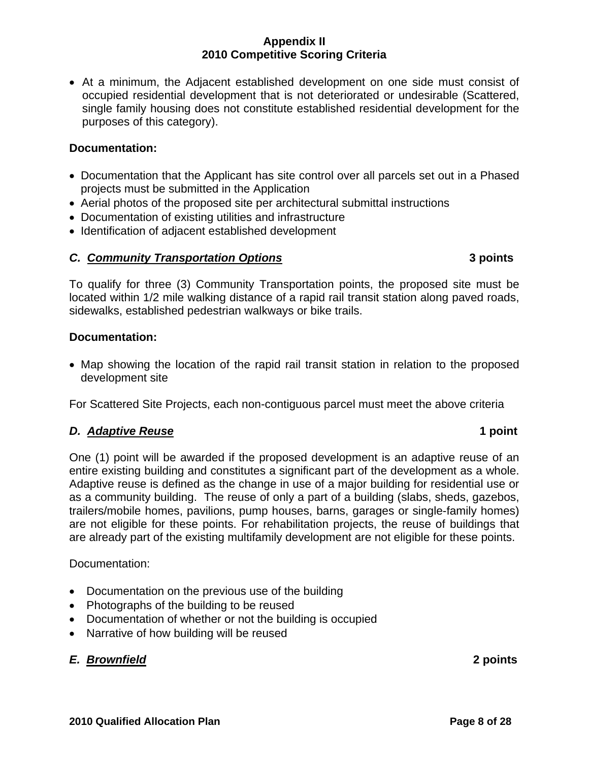• At a minimum, the Adjacent established development on one side must consist of occupied residential development that is not deteriorated or undesirable (Scattered, single family housing does not constitute established residential development for the purposes of this category).

## **Documentation:**

- Documentation that the Applicant has site control over all parcels set out in a Phased projects must be submitted in the Application
- Aerial photos of the proposed site per architectural submittal instructions
- Documentation of existing utilities and infrastructure
- Identification of adjacent established development

## *C. Community Transportation Options* **3 points**

To qualify for three (3) Community Transportation points, the proposed site must be located within 1/2 mile walking distance of a rapid rail transit station along paved roads, sidewalks, established pedestrian walkways or bike trails.

## **Documentation:**

• Map showing the location of the rapid rail transit station in relation to the proposed development site

For Scattered Site Projects, each non-contiguous parcel must meet the above criteria

## *D. Adaptive Reuse* **1 point**

One (1) point will be awarded if the proposed development is an adaptive reuse of an entire existing building and constitutes a significant part of the development as a whole. Adaptive reuse is defined as the change in use of a major building for residential use or as a community building. The reuse of only a part of a building (slabs, sheds, gazebos, trailers/mobile homes, pavilions, pump houses, barns, garages or single-family homes) are not eligible for these points. For rehabilitation projects, the reuse of buildings that are already part of the existing multifamily development are not eligible for these points.

## Documentation:

- Documentation on the previous use of the building
- Photographs of the building to be reused
- Documentation of whether or not the building is occupied
- Narrative of how building will be reused

# *E. Brownfield* **2 points**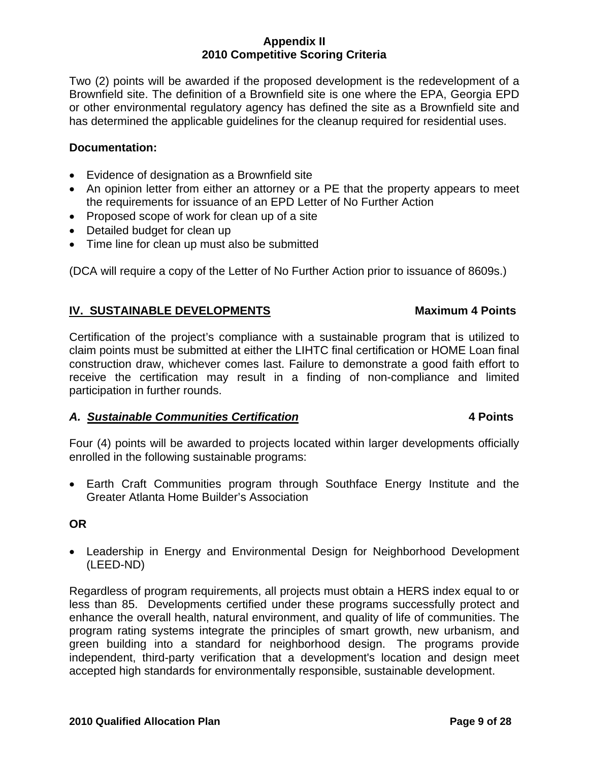Two (2) points will be awarded if the proposed development is the redevelopment of a Brownfield site. The definition of a Brownfield site is one where the EPA, Georgia EPD or other environmental regulatory agency has defined the site as a Brownfield site and has determined the applicable guidelines for the cleanup required for residential uses.

## **Documentation:**

- Evidence of designation as a Brownfield site
- An opinion letter from either an attorney or a PE that the property appears to meet the requirements for issuance of an EPD Letter of No Further Action
- Proposed scope of work for clean up of a site
- Detailed budget for clean up
- Time line for clean up must also be submitted

(DCA will require a copy of the Letter of No Further Action prior to issuance of 8609s.)

## **IV. SUSTAINABLE DEVELOPMENTS Maximum 4 Points**

Certification of the project's compliance with a sustainable program that is utilized to claim points must be submitted at either the LIHTC final certification or HOME Loan final construction draw, whichever comes last. Failure to demonstrate a good faith effort to receive the certification may result in a finding of non-compliance and limited participation in further rounds.

## *A. Sustainable Communities Certification* **4 Points**

## Four (4) points will be awarded to projects located within larger developments officially enrolled in the following sustainable programs:

• Earth Craft Communities program through Southface Energy Institute and the Greater Atlanta Home Builder's Association

## **OR**

• Leadership in Energy and Environmental Design for Neighborhood Development (LEED-ND)

Regardless of program requirements, all projects must obtain a HERS index equal to or less than 85. Developments certified under these programs successfully protect and enhance the overall health, natural environment, and quality of life of communities. The program rating systems integrate the principles of smart growth, new urbanism, and green building into a standard for neighborhood design. The programs provide independent, third-party verification that a development's location and design meet accepted high standards for environmentally responsible, sustainable development.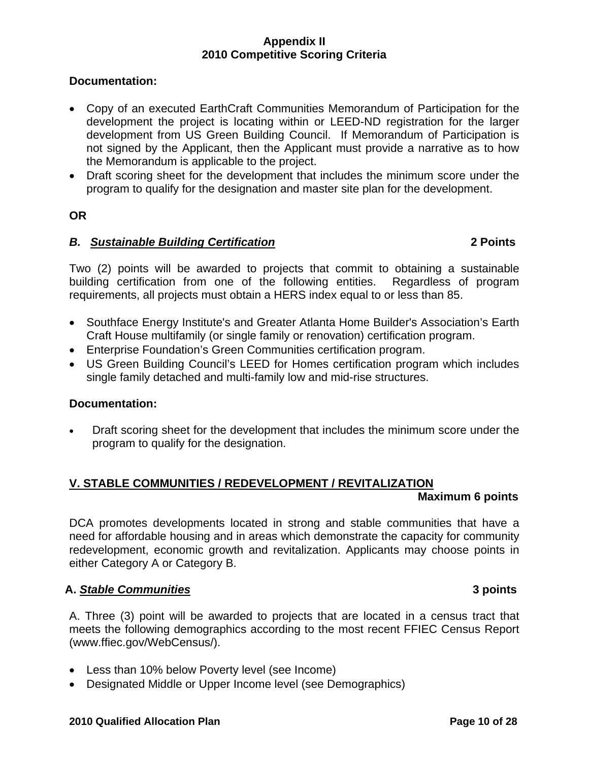## **Documentation:**

- Copy of an executed EarthCraft Communities Memorandum of Participation for the development the project is locating within or LEED-ND registration for the larger development from US Green Building Council. If Memorandum of Participation is not signed by the Applicant, then the Applicant must provide a narrative as to how the Memorandum is applicable to the project.
- Draft scoring sheet for the development that includes the minimum score under the program to qualify for the designation and master site plan for the development.

## **OR**

## *B. Sustainable Building Certification* **2 Points**

Two (2) points will be awarded to projects that commit to obtaining a sustainable building certification from one of the following entities. Regardless of program requirements, all projects must obtain a HERS index equal to or less than 85.

- Southface Energy Institute's and Greater Atlanta Home Builder's Association's Earth Craft House multifamily (or single family or renovation) certification program.
- Enterprise Foundation's Green Communities certification program.
- US Green Building Council's LEED for Homes certification program which includes single family detached and multi-family low and mid-rise structures.

## **Documentation:**

• Draft scoring sheet for the development that includes the minimum score under the program to qualify for the designation.

# **V. STABLE COMMUNITIES / REDEVELOPMENT / REVITALIZATION**

#### **Maximum 6 points**

DCA promotes developments located in strong and stable communities that have a need for affordable housing and in areas which demonstrate the capacity for community redevelopment, economic growth and revitalization. Applicants may choose points in either Category A or Category B.

## **A.** *Stable Communities* **3 points**

A. Three (3) point will be awarded to projects that are located in a census tract that meets the following demographics according to the most recent FFIEC Census Report (www.ffiec.gov/WebCensus/).

- Less than 10% below Poverty level (see Income)
- Designated Middle or Upper Income level (see Demographics)

#### **2010 Qualified Allocation Plan Page 10 of 28**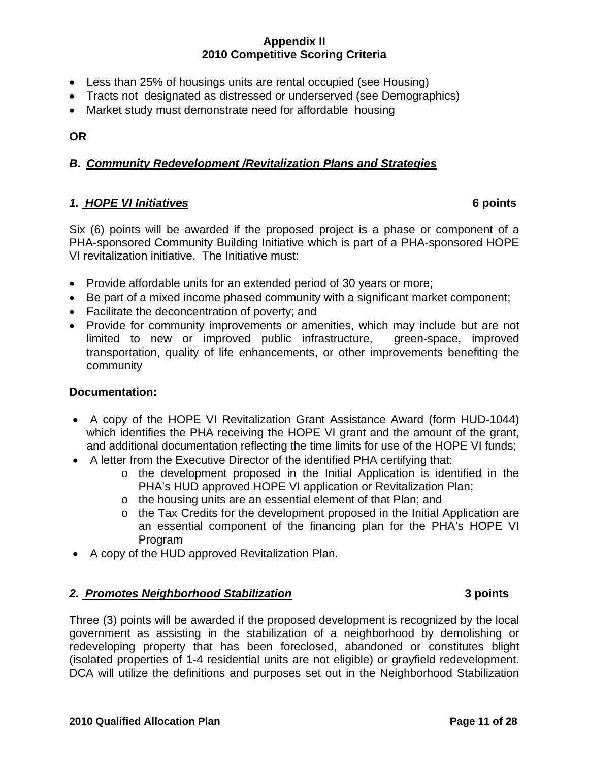- Less than 25% of housings units are rental occupied (see Housing)
- Tracts not designated as distressed or underserved (see Demographics)
- Market study must demonstrate need for affordable housing

## **OR**

## *B. Community Redevelopment /Revitalization Plans and Strategies*

## *1. HOPE VI Initiatives* **6 points**

Six (6) points will be awarded if the proposed project is a phase or component of a PHA-sponsored Community Building Initiative which is part of a PHA-sponsored HOPE VI revitalization initiative. The Initiative must:

- Provide affordable units for an extended period of 30 years or more;
- Be part of a mixed income phased community with a significant market component;
- Facilitate the deconcentration of poverty; and
- Provide for community improvements or amenities, which may include but are not limited to new or improved public infrastructure, green-space, improved transportation, quality of life enhancements, or other improvements benefiting the community

## **Documentation:**

- A copy of the HOPE VI Revitalization Grant Assistance Award (form HUD-1044) which identifies the PHA receiving the HOPE VI grant and the amount of the grant, and additional documentation reflecting the time limits for use of the HOPE VI funds;
- A letter from the Executive Director of the identified PHA certifying that:
	- o the development proposed in the Initial Application is identified in the PHA's HUD approved HOPE VI application or Revitalization Plan;
	- o the housing units are an essential element of that Plan; and
	- o the Tax Credits for the development proposed in the Initial Application are an essential component of the financing plan for the PHA's HOPE VI Program
- A copy of the HUD approved Revitalization Plan.

## *2. Promotes Neighborhood Stabilization* **3 points**

Three (3) points will be awarded if the proposed development is recognized by the local government as assisting in the stabilization of a neighborhood by demolishing or redeveloping property that has been foreclosed, abandoned or constitutes blight (isolated properties of 1-4 residential units are not eligible) or grayfield redevelopment. DCA will utilize the definitions and purposes set out in the Neighborhood Stabilization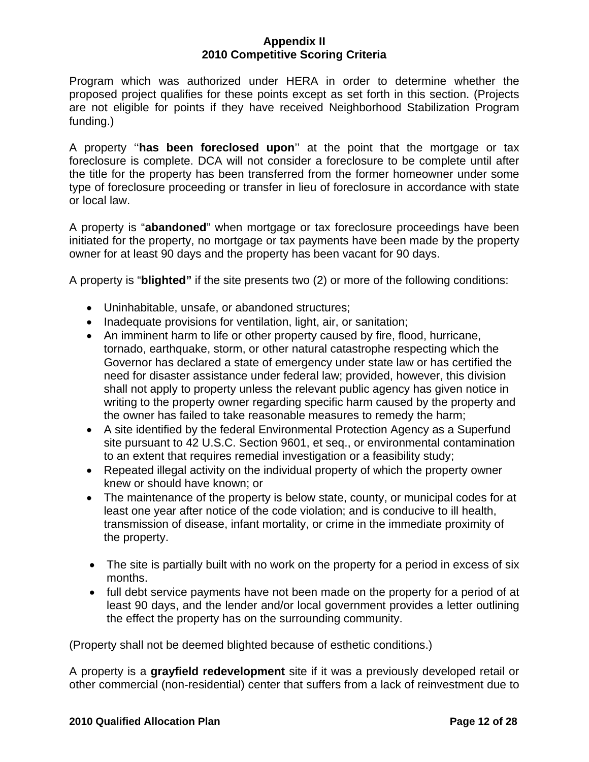Program which was authorized under HERA in order to determine whether the proposed project qualifies for these points except as set forth in this section. (Projects are not eligible for points if they have received Neighborhood Stabilization Program funding.)

A property ''**has been foreclosed upon**'' at the point that the mortgage or tax foreclosure is complete. DCA will not consider a foreclosure to be complete until after the title for the property has been transferred from the former homeowner under some type of foreclosure proceeding or transfer in lieu of foreclosure in accordance with state or local law.

A property is "**abandoned**" when mortgage or tax foreclosure proceedings have been initiated for the property, no mortgage or tax payments have been made by the property owner for at least 90 days and the property has been vacant for 90 days.

A property is "**blighted"** if the site presents two (2) or more of the following conditions:

- Uninhabitable, unsafe, or abandoned structures;
- Inadequate provisions for ventilation, light, air, or sanitation;
- An imminent harm to life or other property caused by fire, flood, hurricane, tornado, earthquake, storm, or other natural catastrophe respecting which the Governor has declared a state of emergency under state law or has certified the need for disaster assistance under federal law; provided, however, this division shall not apply to property unless the relevant public agency has given notice in writing to the property owner regarding specific harm caused by the property and the owner has failed to take reasonable measures to remedy the harm;
- A site identified by the federal Environmental Protection Agency as a Superfund site pursuant to 42 U.S.C. Section 9601, et seq., or environmental contamination to an extent that requires remedial investigation or a feasibility study;
- Repeated illegal activity on the individual property of which the property owner knew or should have known; or
- The maintenance of the property is below state, county, or municipal codes for at least one year after notice of the code violation; and is conducive to ill health, transmission of disease, infant mortality, or crime in the immediate proximity of the property.
- The site is partially built with no work on the property for a period in excess of six months.
- full debt service payments have not been made on the property for a period of at least 90 days, and the lender and/or local government provides a letter outlining the effect the property has on the surrounding community.

(Property shall not be deemed blighted because of esthetic conditions.)

A property is a **grayfield redevelopment** site if it was a previously developed retail or other commercial (non-residential) center that suffers from a lack of reinvestment due to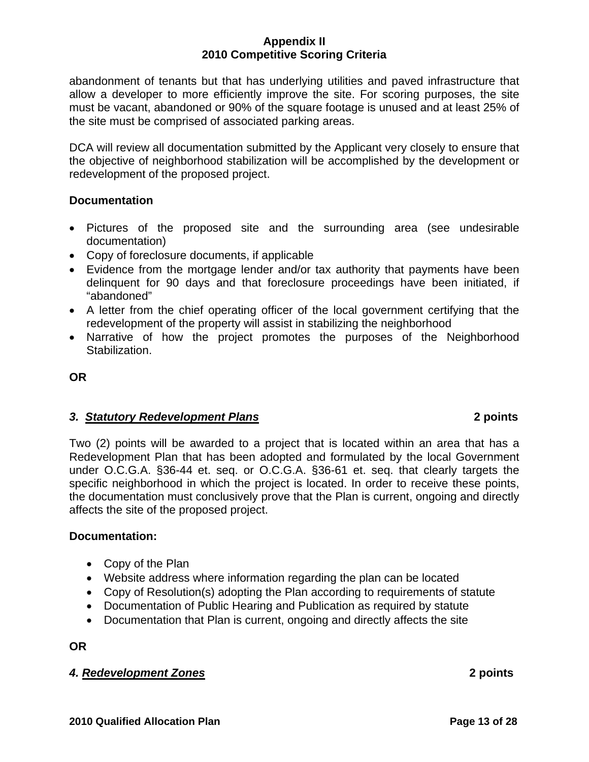abandonment of tenants but that has underlying utilities and paved infrastructure that allow a developer to more efficiently improve the site. For scoring purposes, the site must be vacant, abandoned or 90% of the square footage is unused and at least 25% of the site must be comprised of associated parking areas.

DCA will review all documentation submitted by the Applicant very closely to ensure that the objective of neighborhood stabilization will be accomplished by the development or redevelopment of the proposed project.

## **Documentation**

- Pictures of the proposed site and the surrounding area (see undesirable documentation)
- Copy of foreclosure documents, if applicable
- Evidence from the mortgage lender and/or tax authority that payments have been delinquent for 90 days and that foreclosure proceedings have been initiated, if "abandoned"
- A letter from the chief operating officer of the local government certifying that the redevelopment of the property will assist in stabilizing the neighborhood
- Narrative of how the project promotes the purposes of the Neighborhood Stabilization.

# **OR**

# *3. Statutory Redevelopment Plans* **2 points**

Two (2) points will be awarded to a project that is located within an area that has a Redevelopment Plan that has been adopted and formulated by the local Government under O.C.G.A. §36-44 et. seq. or O.C.G.A. §36-61 et. seq. that clearly targets the specific neighborhood in which the project is located. In order to receive these points, the documentation must conclusively prove that the Plan is current, ongoing and directly affects the site of the proposed project.

# **Documentation:**

- Copy of the Plan
- Website address where information regarding the plan can be located
- Copy of Resolution(s) adopting the Plan according to requirements of statute
- Documentation of Public Hearing and Publication as required by statute
- Documentation that Plan is current, ongoing and directly affects the site

**OR** 

# *4. Redevelopment Zones* **2 points**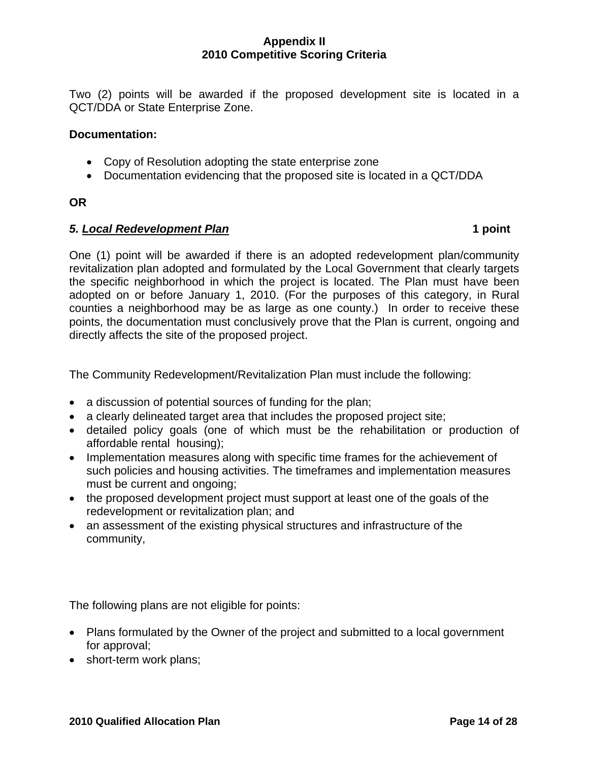Two (2) points will be awarded if the proposed development site is located in a QCT/DDA or State Enterprise Zone.

### **Documentation:**

- Copy of Resolution adopting the state enterprise zone
- Documentation evidencing that the proposed site is located in a QCT/DDA

### **OR**

## *5. Local Redevelopment Plan* **1 point**

One (1) point will be awarded if there is an adopted redevelopment plan/community revitalization plan adopted and formulated by the Local Government that clearly targets the specific neighborhood in which the project is located. The Plan must have been adopted on or before January 1, 2010. (For the purposes of this category, in Rural counties a neighborhood may be as large as one county.) In order to receive these points, the documentation must conclusively prove that the Plan is current, ongoing and directly affects the site of the proposed project.

The Community Redevelopment/Revitalization Plan must include the following:

- a discussion of potential sources of funding for the plan;
- a clearly delineated target area that includes the proposed project site;
- detailed policy goals (one of which must be the rehabilitation or production of affordable rental housing);
- Implementation measures along with specific time frames for the achievement of such policies and housing activities. The timeframes and implementation measures must be current and ongoing;
- the proposed development project must support at least one of the goals of the redevelopment or revitalization plan; and
- an assessment of the existing physical structures and infrastructure of the community,

The following plans are not eligible for points:

- Plans formulated by the Owner of the project and submitted to a local government for approval;
- short-term work plans;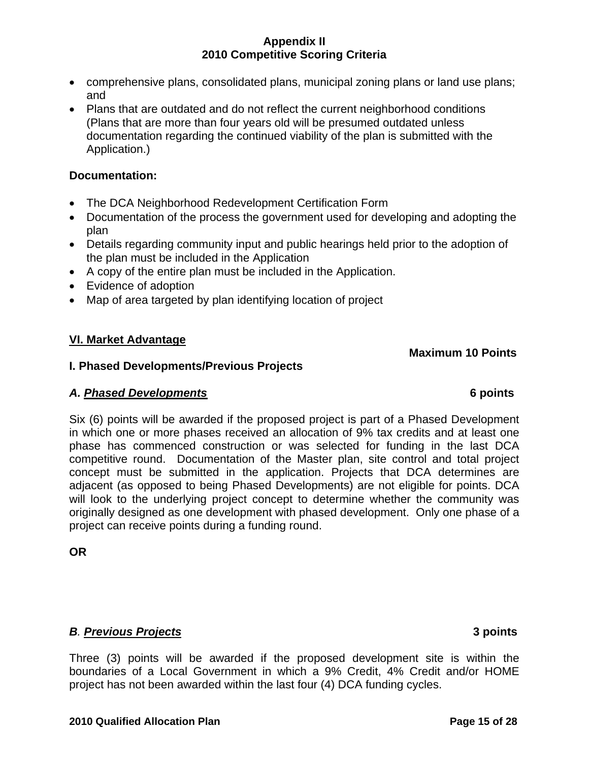- comprehensive plans, consolidated plans, municipal zoning plans or land use plans; and
- Plans that are outdated and do not reflect the current neighborhood conditions (Plans that are more than four years old will be presumed outdated unless documentation regarding the continued viability of the plan is submitted with the Application.)

## **Documentation:**

- The DCA Neighborhood Redevelopment Certification Form
- Documentation of the process the government used for developing and adopting the plan
- Details regarding community input and public hearings held prior to the adoption of the plan must be included in the Application
- A copy of the entire plan must be included in the Application.
- Evidence of adoption
- Map of area targeted by plan identifying location of project

# **VI. Market Advantage**

## **I. Phased Developments/Previous Projects**

# *A. Phased Developments* **6 points**

Six (6) points will be awarded if the proposed project is part of a Phased Development in which one or more phases received an allocation of 9% tax credits and at least one phase has commenced construction or was selected for funding in the last DCA competitive round. Documentation of the Master plan, site control and total project concept must be submitted in the application. Projects that DCA determines are adjacent (as opposed to being Phased Developments) are not eligible for points. DCA will look to the underlying project concept to determine whether the community was originally designed as one development with phased development. Only one phase of a project can receive points during a funding round.

**OR** 

# *B. Previous Projects* **3 points**

Three (3) points will be awarded if the proposed development site is within the boundaries of a Local Government in which a 9% Credit, 4% Credit and/or HOME project has not been awarded within the last four (4) DCA funding cycles.

 **Maximum 10 Points**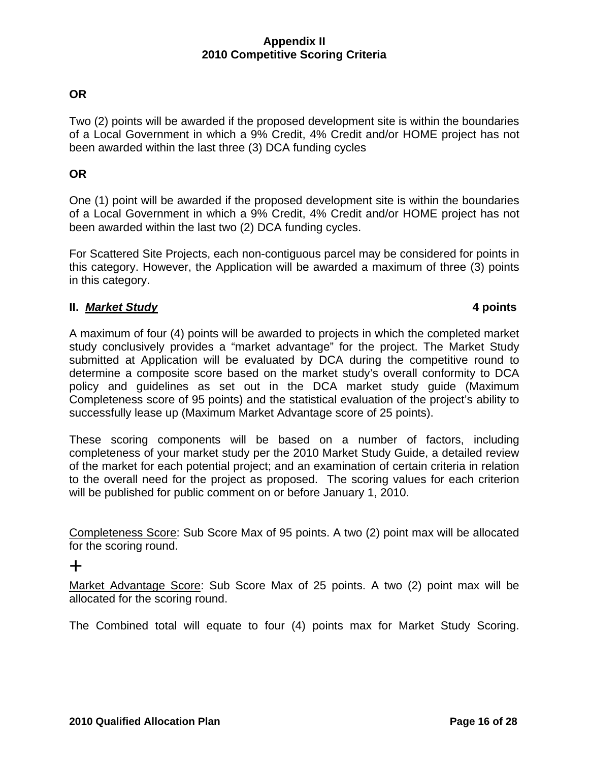# **OR**

Two (2) points will be awarded if the proposed development site is within the boundaries of a Local Government in which a 9% Credit, 4% Credit and/or HOME project has not been awarded within the last three (3) DCA funding cycles

## **OR**

One (1) point will be awarded if the proposed development site is within the boundaries of a Local Government in which a 9% Credit, 4% Credit and/or HOME project has not been awarded within the last two (2) DCA funding cycles.

For Scattered Site Projects, each non-contiguous parcel may be considered for points in this category. However, the Application will be awarded a maximum of three (3) points in this category.

## **II.** *Market Study* **4 points**

A maximum of four (4) points will be awarded to projects in which the completed market study conclusively provides a "market advantage" for the project. The Market Study submitted at Application will be evaluated by DCA during the competitive round to determine a composite score based on the market study's overall conformity to DCA policy and guidelines as set out in the DCA market study guide (Maximum Completeness score of 95 points) and the statistical evaluation of the project's ability to successfully lease up (Maximum Market Advantage score of 25 points).

These scoring components will be based on a number of factors, including completeness of your market study per the 2010 Market Study Guide, a detailed review of the market for each potential project; and an examination of certain criteria in relation to the overall need for the project as proposed. The scoring values for each criterion will be published for public comment on or before January 1, 2010.

Completeness Score: Sub Score Max of 95 points. A two (2) point max will be allocated for the scoring round.

# +

Market Advantage Score: Sub Score Max of 25 points. A two (2) point max will be allocated for the scoring round.

The Combined total will equate to four (4) points max for Market Study Scoring.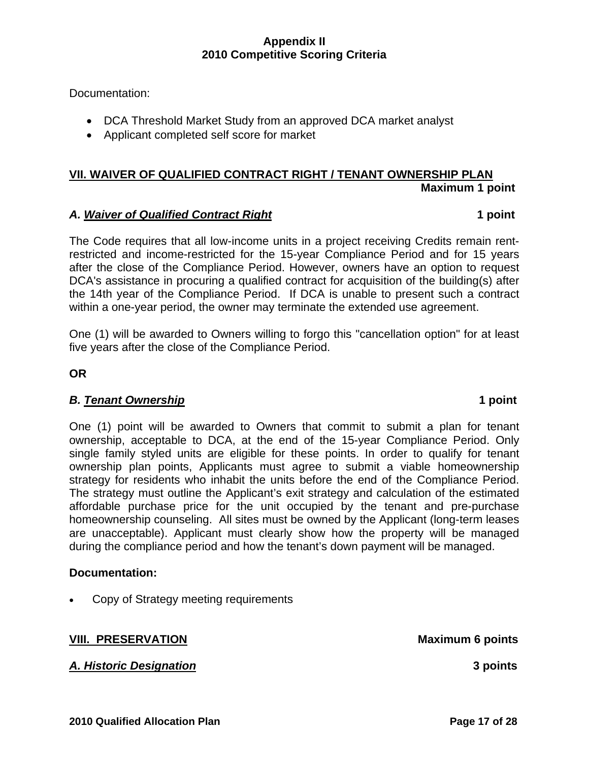Documentation:

- DCA Threshold Market Study from an approved DCA market analyst
- Applicant completed self score for market

# **VII. WAIVER OF QUALIFIED CONTRACT RIGHT / TENANT OWNERSHIP PLAN Maximum 1 point**

### *A. Waiver of Qualified Contract Right* **1 point**

The Code requires that all low-income units in a project receiving Credits remain rentrestricted and income-restricted for the 15-year Compliance Period and for 15 years after the close of the Compliance Period. However, owners have an option to request DCA's assistance in procuring a qualified contract for acquisition of the building(s) after the 14th year of the Compliance Period. If DCA is unable to present such a contract within a one-year period, the owner may terminate the extended use agreement.

One (1) will be awarded to Owners willing to forgo this "cancellation option" for at least five years after the close of the Compliance Period.

**OR** 

## *B. Tenant Ownership* **1 point**

One (1) point will be awarded to Owners that commit to submit a plan for tenant ownership, acceptable to DCA, at the end of the 15-year Compliance Period. Only single family styled units are eligible for these points. In order to qualify for tenant ownership plan points, Applicants must agree to submit a viable homeownership strategy for residents who inhabit the units before the end of the Compliance Period. The strategy must outline the Applicant's exit strategy and calculation of the estimated affordable purchase price for the unit occupied by the tenant and pre-purchase homeownership counseling. All sites must be owned by the Applicant (long-term leases are unacceptable). Applicant must clearly show how the property will be managed during the compliance period and how the tenant's down payment will be managed.

#### **Documentation:**

• Copy of Strategy meeting requirements

*A. Historic Designation* **3 points** 

**VIII.** PRESERVATION Maximum 6 points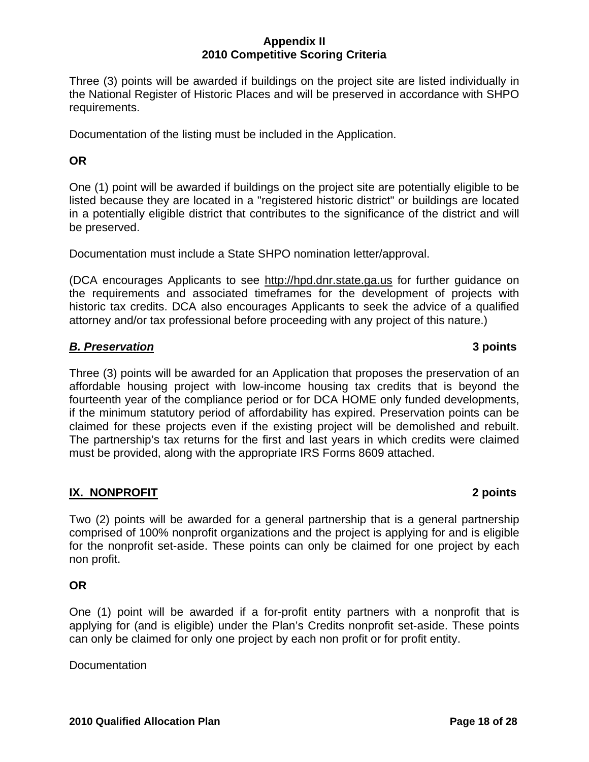Three (3) points will be awarded if buildings on the project site are listed individually in the National Register of Historic Places and will be preserved in accordance with SHPO requirements.

Documentation of the listing must be included in the Application.

# **OR**

One (1) point will be awarded if buildings on the project site are potentially eligible to be listed because they are located in a "registered historic district" or buildings are located in a potentially eligible district that contributes to the significance of the district and will be preserved.

Documentation must include a State SHPO nomination letter/approval.

(DCA encourages Applicants to see [http://hpd.dnr.state.ga.us](http://hpd.dnr.state.ga.us/) for further guidance on the requirements and associated timeframes for the development of projects with historic tax credits. DCA also encourages Applicants to seek the advice of a qualified attorney and/or tax professional before proceeding with any project of this nature.)

## *B. Preservation* **3 points**

Three (3) points will be awarded for an Application that proposes the preservation of an affordable housing project with low-income housing tax credits that is beyond the fourteenth year of the compliance period or for DCA HOME only funded developments, if the minimum statutory period of affordability has expired. Preservation points can be claimed for these projects even if the existing project will be demolished and rebuilt. The partnership's tax returns for the first and last years in which credits were claimed must be provided, along with the appropriate IRS Forms 8609 attached.

# **IX. NONPROFIT 2 points**

Two (2) points will be awarded for a general partnership that is a general partnership comprised of 100% nonprofit organizations and the project is applying for and is eligible for the nonprofit set-aside. These points can only be claimed for one project by each non profit.

## **OR**

One (1) point will be awarded if a for-profit entity partners with a nonprofit that is applying for (and is eligible) under the Plan's Credits nonprofit set-aside. These points can only be claimed for only one project by each non profit or for profit entity.

Documentation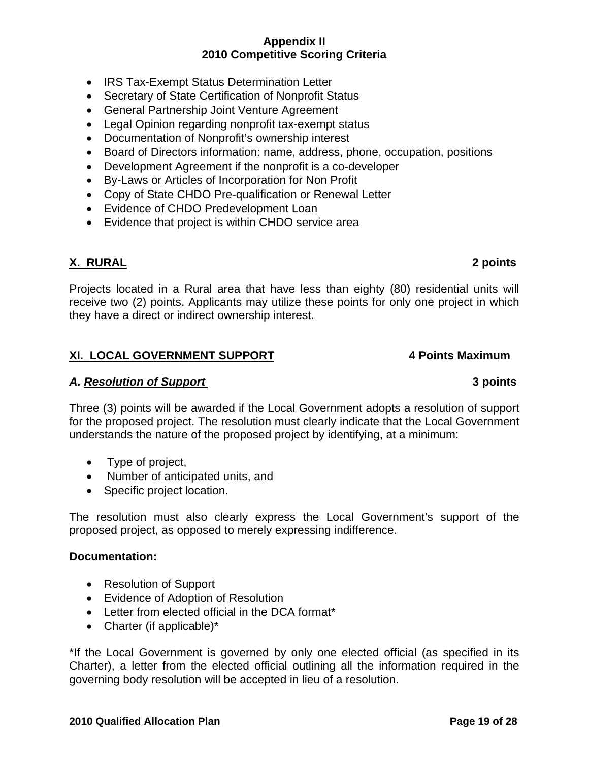- IRS Tax-Exempt Status Determination Letter
- Secretary of State Certification of Nonprofit Status
- General Partnership Joint Venture Agreement
- Legal Opinion regarding nonprofit tax-exempt status
- Documentation of Nonprofit's ownership interest
- Board of Directors information: name, address, phone, occupation, positions
- Development Agreement if the nonprofit is a co-developer
- By-Laws or Articles of Incorporation for Non Profit
- Copy of State CHDO Pre-qualification or Renewal Letter
- Evidence of CHDO Predevelopment Loan
- Evidence that project is within CHDO service area

## **X. RURAL 2 points**

Projects located in a Rural area that have less than eighty (80) residential units will receive two (2) points. Applicants may utilize these points for only one project in which they have a direct or indirect ownership interest.

#### **XI. LOCAL GOVERNMENT SUPPORT 4 Points Maximum**

#### *A. Resolution of Support* **3 points**

Three (3) points will be awarded if the Local Government adopts a resolution of support for the proposed project. The resolution must clearly indicate that the Local Government understands the nature of the proposed project by identifying, at a minimum:

- Type of project,
- Number of anticipated units, and
- Specific project location.

The resolution must also clearly express the Local Government's support of the proposed project, as opposed to merely expressing indifference.

#### **Documentation:**

- Resolution of Support
- Evidence of Adoption of Resolution
- Letter from elected official in the DCA format\*
- Charter (if applicable)\*

\*If the Local Government is governed by only one elected official (as specified in its Charter), a letter from the elected official outlining all the information required in the governing body resolution will be accepted in lieu of a resolution.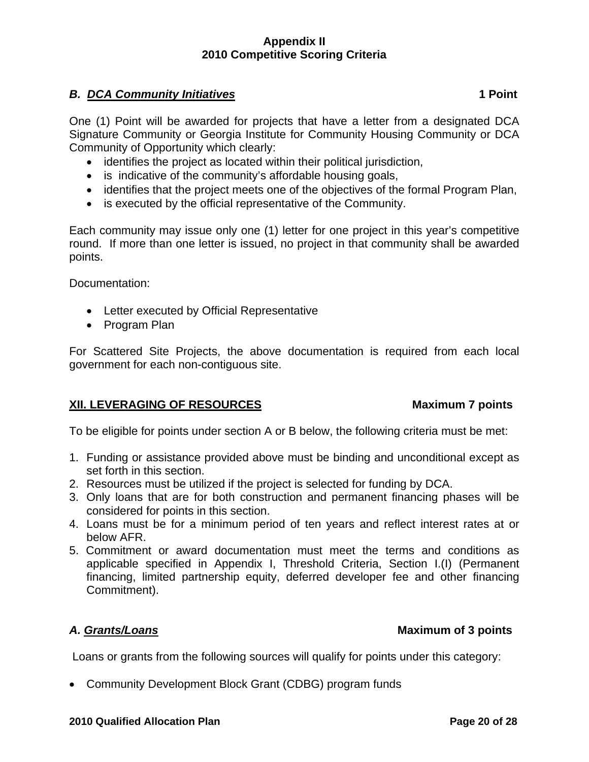# **B. DCA Community Initiatives 1 Point 1 Point**

One (1) Point will be awarded for projects that have a letter from a designated DCA Signature Community or Georgia Institute for Community Housing Community or DCA Community of Opportunity which clearly:

- identifies the project as located within their political jurisdiction,
- is indicative of the community's affordable housing goals,
- identifies that the project meets one of the objectives of the formal Program Plan,
- is executed by the official representative of the Community.

Each community may issue only one (1) letter for one project in this year's competitive round. If more than one letter is issued, no project in that community shall be awarded points.

Documentation:

- Letter executed by Official Representative
- Program Plan

For Scattered Site Projects, the above documentation is required from each local government for each non-contiguous site.

# **XII. LEVERAGING OF RESOURCES** Maximum 7 points

To be eligible for points under section A or B below, the following criteria must be met:

- 1. Funding or assistance provided above must be binding and unconditional except as set forth in this section.
- 2. Resources must be utilized if the project is selected for funding by DCA.
- 3. Only loans that are for both construction and permanent financing phases will be considered for points in this section.
- 4. Loans must be for a minimum period of ten years and reflect interest rates at or below AFR.
- 5. Commitment or award documentation must meet the terms and conditions as applicable specified in Appendix I, Threshold Criteria, Section I.(I) (Permanent financing, limited partnership equity, deferred developer fee and other financing Commitment).

# *A. Grants/Loans* **Maximum of 3 points**

Loans or grants from the following sources will qualify for points under this category:

• Community Development Block Grant (CDBG) program funds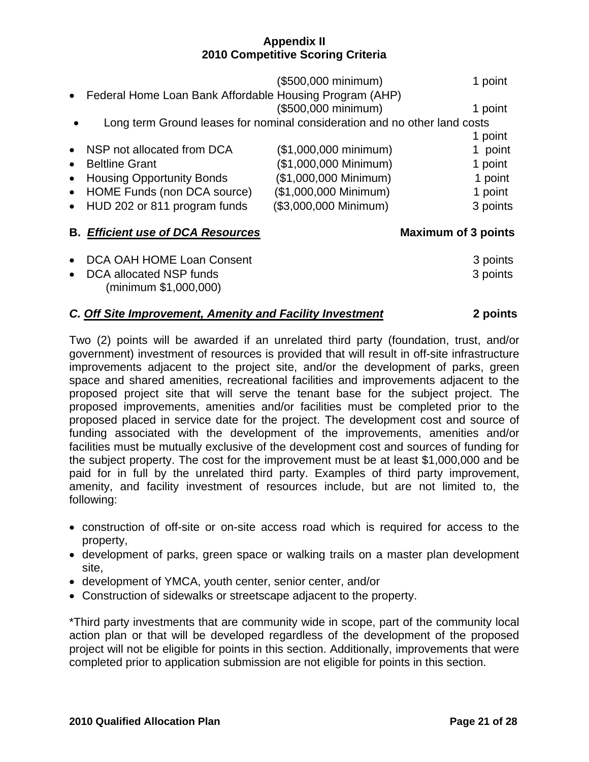|           | Federal Home Loan Bank Affordable Housing Program (AHP)                   | (\$500,000 minimum)            |                            | 1 point  |
|-----------|---------------------------------------------------------------------------|--------------------------------|----------------------------|----------|
|           |                                                                           | (\$500,000 minimum)            |                            | 1 point  |
|           | Long term Ground leases for nominal consideration and no other land costs |                                |                            |          |
|           |                                                                           |                                |                            | 1 point  |
|           | NSP not allocated from DCA                                                | $($1,000,000 \text{ minimum})$ |                            | 1 point  |
| $\bullet$ | <b>Beltline Grant</b>                                                     | (\$1,000,000 Minimum)          |                            | 1 point  |
|           | <b>Housing Opportunity Bonds</b>                                          | (\$1,000,000 Minimum)          |                            | 1 point  |
| $\bullet$ | HOME Funds (non DCA source)                                               | (\$1,000,000 Minimum)          |                            | 1 point  |
| $\bullet$ | HUD 202 or 811 program funds                                              | (\$3,000,000 Minimum)          |                            | 3 points |
|           | <b>B. Efficient use of DCA Resources</b>                                  |                                | <b>Maximum of 3 points</b> |          |
|           | DCA OAH HOME Loan Consent                                                 |                                |                            | 3 points |
|           | DCA allocated NSP funds<br>(minimum \$1,000,000)                          |                                |                            | 3 points |

### *C. Off Site Improvement, Amenity and Facility Investment* **2 points**

Two (2) points will be awarded if an unrelated third party (foundation, trust, and/or government) investment of resources is provided that will result in off-site infrastructure improvements adjacent to the project site, and/or the development of parks, green space and shared amenities, recreational facilities and improvements adjacent to the proposed project site that will serve the tenant base for the subject project. The proposed improvements, amenities and/or facilities must be completed prior to the proposed placed in service date for the project. The development cost and source of funding associated with the development of the improvements, amenities and/or facilities must be mutually exclusive of the development cost and sources of funding for the subject property. The cost for the improvement must be at least \$1,000,000 and be paid for in full by the unrelated third party. Examples of third party improvement, amenity, and facility investment of resources include, but are not limited to, the following:

- construction of off-site or on-site access road which is required for access to the property,
- development of parks, green space or walking trails on a master plan development site,
- development of YMCA, youth center, senior center, and/or
- Construction of sidewalks or streetscape adjacent to the property.

\*Third party investments that are community wide in scope, part of the community local action plan or that will be developed regardless of the development of the proposed project will not be eligible for points in this section. Additionally, improvements that were completed prior to application submission are not eligible for points in this section.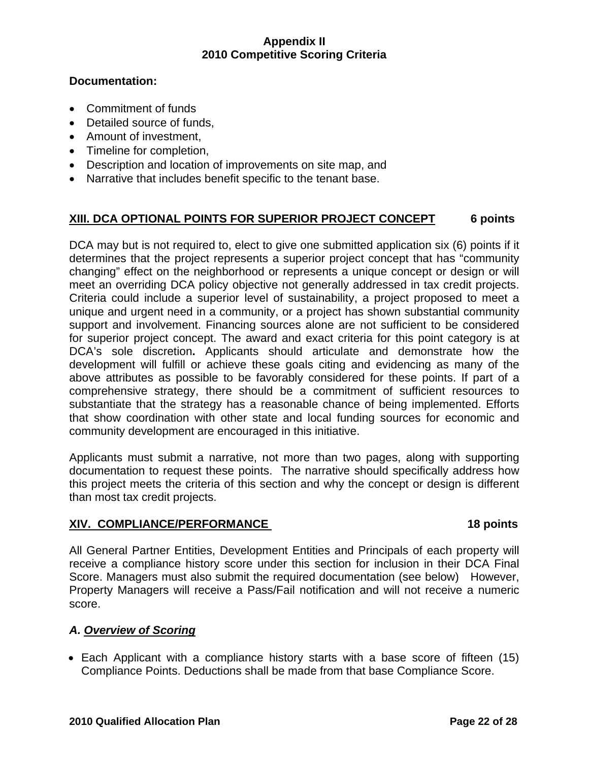## **Documentation:**

- Commitment of funds
- Detailed source of funds,
- Amount of investment,
- Timeline for completion,
- Description and location of improvements on site map, and
- Narrative that includes benefit specific to the tenant base.

# **XIII. DCA OPTIONAL POINTS FOR SUPERIOR PROJECT CONCEPT 6 points**

DCA may but is not required to, elect to give one submitted application six (6) points if it determines that the project represents a superior project concept that has "community changing" effect on the neighborhood or represents a unique concept or design or will meet an overriding DCA policy objective not generally addressed in tax credit projects. Criteria could include a superior level of sustainability, a project proposed to meet a unique and urgent need in a community, or a project has shown substantial community support and involvement. Financing sources alone are not sufficient to be considered for superior project concept. The award and exact criteria for this point category is at DCA's sole discretion**.** Applicants should articulate and demonstrate how the development will fulfill or achieve these goals citing and evidencing as many of the above attributes as possible to be favorably considered for these points. If part of a comprehensive strategy, there should be a commitment of sufficient resources to substantiate that the strategy has a reasonable chance of being implemented. Efforts that show coordination with other state and local funding sources for economic and community development are encouraged in this initiative.

Applicants must submit a narrative, not more than two pages, along with supporting documentation to request these points. The narrative should specifically address how this project meets the criteria of this section and why the concept or design is different than most tax credit projects.

## **XIV. COMPLIANCE/PERFORMANCE 18 points**

All General Partner Entities, Development Entities and Principals of each property will receive a compliance history score under this section for inclusion in their DCA Final Score. Managers must also submit the required documentation (see below) However, Property Managers will receive a Pass/Fail notification and will not receive a numeric score.

# *A. Overview of Scoring*

• Each Applicant with a compliance history starts with a base score of fifteen (15) Compliance Points. Deductions shall be made from that base Compliance Score.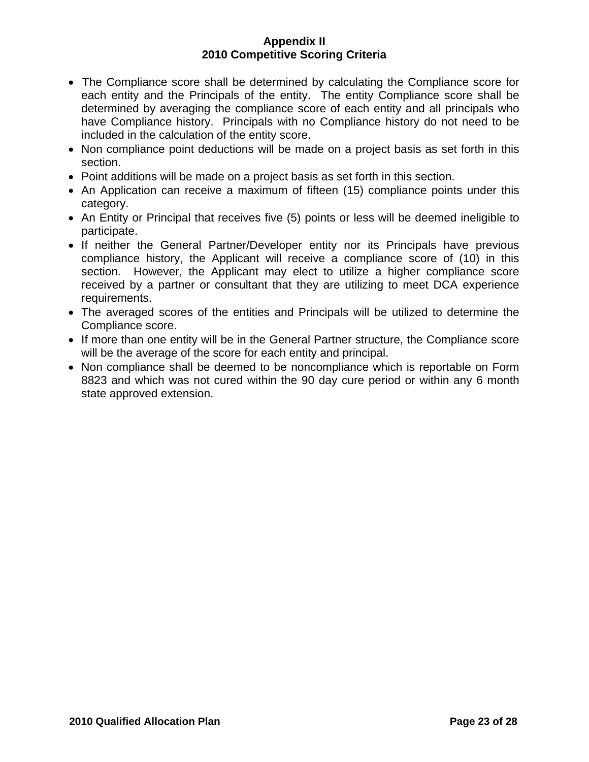- The Compliance score shall be determined by calculating the Compliance score for each entity and the Principals of the entity. The entity Compliance score shall be determined by averaging the compliance score of each entity and all principals who have Compliance history. Principals with no Compliance history do not need to be included in the calculation of the entity score.
- Non compliance point deductions will be made on a project basis as set forth in this section.
- Point additions will be made on a project basis as set forth in this section.
- An Application can receive a maximum of fifteen (15) compliance points under this category.
- An Entity or Principal that receives five (5) points or less will be deemed ineligible to participate.
- If neither the General Partner/Developer entity nor its Principals have previous compliance history, the Applicant will receive a compliance score of (10) in this section. However, the Applicant may elect to utilize a higher compliance score received by a partner or consultant that they are utilizing to meet DCA experience requirements.
- The averaged scores of the entities and Principals will be utilized to determine the Compliance score.
- If more than one entity will be in the General Partner structure, the Compliance score will be the average of the score for each entity and principal.
- Non compliance shall be deemed to be noncompliance which is reportable on Form 8823 and which was not cured within the 90 day cure period or within any 6 month state approved extension.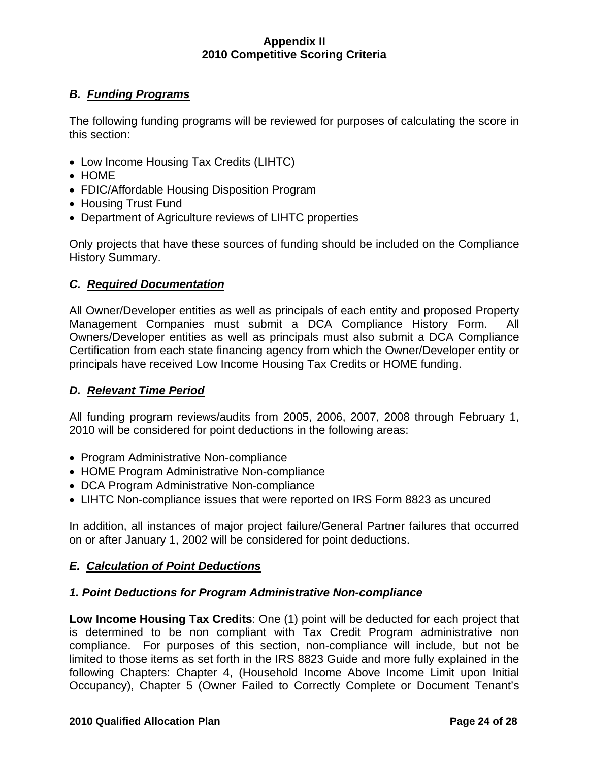# *B. Funding Programs*

The following funding programs will be reviewed for purposes of calculating the score in this section:

- Low Income Housing Tax Credits (LIHTC)
- HOME
- FDIC/Affordable Housing Disposition Program
- Housing Trust Fund
- Department of Agriculture reviews of LIHTC properties

Only projects that have these sources of funding should be included on the Compliance History Summary.

## *C. Required Documentation*

All Owner/Developer entities as well as principals of each entity and proposed Property Management Companies must submit a DCA Compliance History Form. All Owners/Developer entities as well as principals must also submit a DCA Compliance Certification from each state financing agency from which the Owner/Developer entity or principals have received Low Income Housing Tax Credits or HOME funding.

## *D. Relevant Time Period*

All funding program reviews/audits from 2005, 2006, 2007, 2008 through February 1, 2010 will be considered for point deductions in the following areas:

- Program Administrative Non-compliance
- HOME Program Administrative Non-compliance
- DCA Program Administrative Non-compliance
- LIHTC Non-compliance issues that were reported on IRS Form 8823 as uncured

In addition, all instances of major project failure/General Partner failures that occurred on or after January 1, 2002 will be considered for point deductions.

## *E. Calculation of Point Deductions*

## *1. Point Deductions for Program Administrative Non-compliance*

**Low Income Housing Tax Credits**: One (1) point will be deducted for each project that is determined to be non compliant with Tax Credit Program administrative non compliance. For purposes of this section, non-compliance will include, but not be limited to those items as set forth in the IRS 8823 Guide and more fully explained in the following Chapters: Chapter 4, (Household Income Above Income Limit upon Initial Occupancy), Chapter 5 (Owner Failed to Correctly Complete or Document Tenant's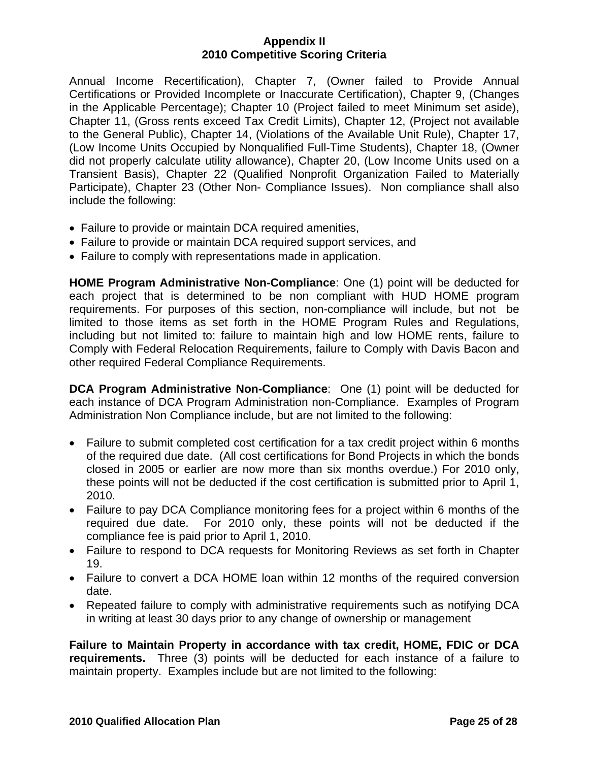Annual Income Recertification), Chapter 7, (Owner failed to Provide Annual Certifications or Provided Incomplete or Inaccurate Certification), Chapter 9, (Changes in the Applicable Percentage); Chapter 10 (Project failed to meet Minimum set aside), Chapter 11, (Gross rents exceed Tax Credit Limits), Chapter 12, (Project not available to the General Public), Chapter 14, (Violations of the Available Unit Rule), Chapter 17, (Low Income Units Occupied by Nonqualified Full-Time Students), Chapter 18, (Owner did not properly calculate utility allowance), Chapter 20, (Low Income Units used on a Transient Basis), Chapter 22 (Qualified Nonprofit Organization Failed to Materially Participate), Chapter 23 (Other Non- Compliance Issues). Non compliance shall also include the following:

- Failure to provide or maintain DCA required amenities,
- Failure to provide or maintain DCA required support services, and
- Failure to comply with representations made in application.

**HOME Program Administrative Non-Compliance**: One (1) point will be deducted for each project that is determined to be non compliant with HUD HOME program requirements. For purposes of this section, non-compliance will include, but not be limited to those items as set forth in the HOME Program Rules and Regulations, including but not limited to: failure to maintain high and low HOME rents, failure to Comply with Federal Relocation Requirements, failure to Comply with Davis Bacon and other required Federal Compliance Requirements.

**DCA Program Administrative Non-Compliance**: One (1) point will be deducted for each instance of DCA Program Administration non-Compliance. Examples of Program Administration Non Compliance include, but are not limited to the following:

- Failure to submit completed cost certification for a tax credit project within 6 months of the required due date. (All cost certifications for Bond Projects in which the bonds closed in 2005 or earlier are now more than six months overdue.) For 2010 only, these points will not be deducted if the cost certification is submitted prior to April 1, 2010.
- Failure to pay DCA Compliance monitoring fees for a project within 6 months of the required due date. For 2010 only, these points will not be deducted if the compliance fee is paid prior to April 1, 2010.
- Failure to respond to DCA requests for Monitoring Reviews as set forth in Chapter 19.
- Failure to convert a DCA HOME loan within 12 months of the required conversion date.
- Repeated failure to comply with administrative requirements such as notifying DCA in writing at least 30 days prior to any change of ownership or management

**Failure to Maintain Property in accordance with tax credit, HOME, FDIC or DCA requirements.** Three (3) points will be deducted for each instance of a failure to maintain property. Examples include but are not limited to the following: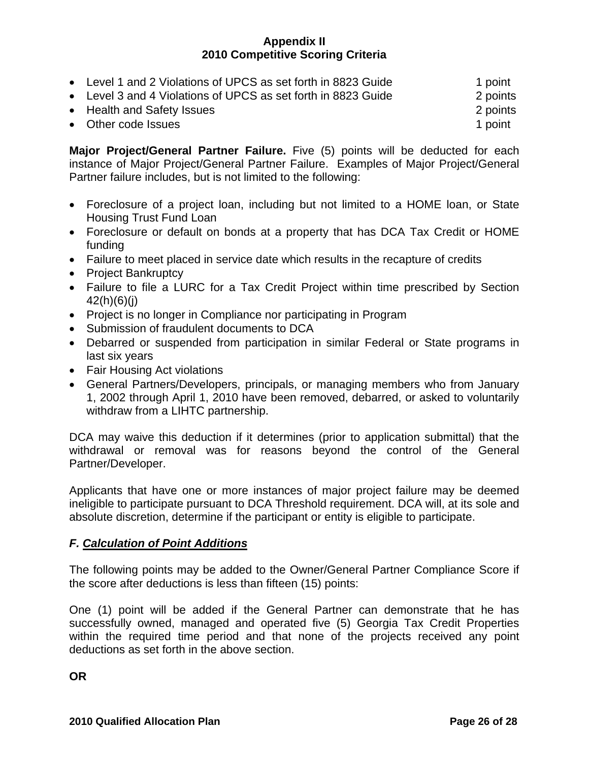|  | • Level 1 and 2 Violations of UPCS as set forth in 8823 Guide | 1 point |
|--|---------------------------------------------------------------|---------|
|--|---------------------------------------------------------------|---------|

• Level 3 and 4 Violations of UPCS as set forth in 8823 Guide 2 points

• Health and Safety Issues 2 points

• Other code Issues 1 point 1 point 1 point 1 point 1 point 1 point 1 point 1 point 1 point 1 point 1 point 1 point 1 point 1 point 1 point 1 point 1 point 1 point 1 point 1 point 1 point 1 point 1 point 1 point 1 point 1

**Major Project/General Partner Failure.** Five (5) points will be deducted for each instance of Major Project/General Partner Failure. Examples of Major Project/General Partner failure includes, but is not limited to the following:

- Foreclosure of a project loan, including but not limited to a HOME loan, or State Housing Trust Fund Loan
- Foreclosure or default on bonds at a property that has DCA Tax Credit or HOME funding
- Failure to meet placed in service date which results in the recapture of credits
- Project Bankruptcy
- Failure to file a LURC for a Tax Credit Project within time prescribed by Section 42(h)(6)(j)
- Project is no longer in Compliance nor participating in Program
- Submission of fraudulent documents to DCA
- Debarred or suspended from participation in similar Federal or State programs in last six years
- Fair Housing Act violations
- General Partners/Developers, principals, or managing members who from January 1, 2002 through April 1, 2010 have been removed, debarred, or asked to voluntarily withdraw from a LIHTC partnership.

DCA may waive this deduction if it determines (prior to application submittal) that the withdrawal or removal was for reasons beyond the control of the General Partner/Developer.

Applicants that have one or more instances of major project failure may be deemed ineligible to participate pursuant to DCA Threshold requirement. DCA will, at its sole and absolute discretion, determine if the participant or entity is eligible to participate.

# *F. Calculation of Point Additions*

The following points may be added to the Owner/General Partner Compliance Score if the score after deductions is less than fifteen (15) points:

One (1) point will be added if the General Partner can demonstrate that he has successfully owned, managed and operated five (5) Georgia Tax Credit Properties within the required time period and that none of the projects received any point deductions as set forth in the above section.

**OR**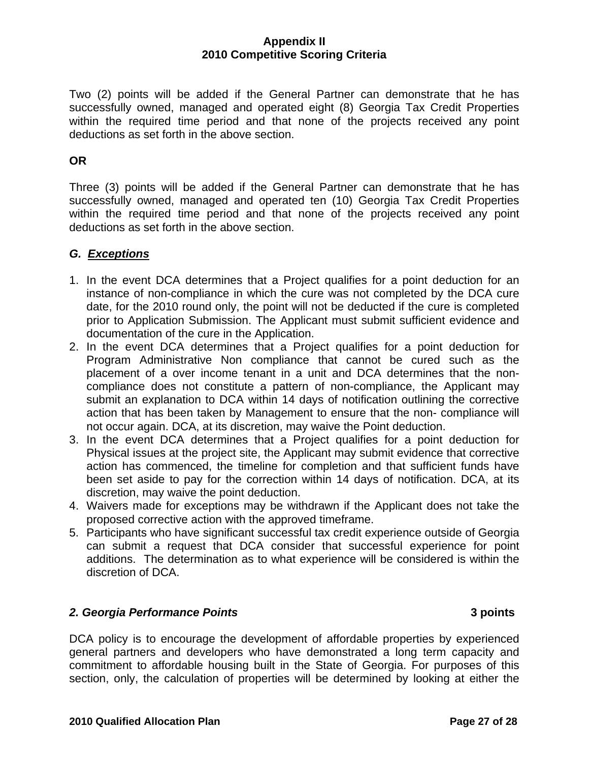Two (2) points will be added if the General Partner can demonstrate that he has successfully owned, managed and operated eight (8) Georgia Tax Credit Properties within the required time period and that none of the projects received any point deductions as set forth in the above section.

# **OR**

Three (3) points will be added if the General Partner can demonstrate that he has successfully owned, managed and operated ten (10) Georgia Tax Credit Properties within the required time period and that none of the projects received any point deductions as set forth in the above section.

# *G. Exceptions*

- 1. In the event DCA determines that a Project qualifies for a point deduction for an instance of non-compliance in which the cure was not completed by the DCA cure date, for the 2010 round only, the point will not be deducted if the cure is completed prior to Application Submission. The Applicant must submit sufficient evidence and documentation of the cure in the Application.
- 2. In the event DCA determines that a Project qualifies for a point deduction for Program Administrative Non compliance that cannot be cured such as the placement of a over income tenant in a unit and DCA determines that the noncompliance does not constitute a pattern of non-compliance, the Applicant may submit an explanation to DCA within 14 days of notification outlining the corrective action that has been taken by Management to ensure that the non- compliance will not occur again. DCA, at its discretion, may waive the Point deduction.
- 3. In the event DCA determines that a Project qualifies for a point deduction for Physical issues at the project site, the Applicant may submit evidence that corrective action has commenced, the timeline for completion and that sufficient funds have been set aside to pay for the correction within 14 days of notification. DCA, at its discretion, may waive the point deduction.
- 4. Waivers made for exceptions may be withdrawn if the Applicant does not take the proposed corrective action with the approved timeframe.
- 5. Participants who have significant successful tax credit experience outside of Georgia can submit a request that DCA consider that successful experience for point additions. The determination as to what experience will be considered is within the discretion of DCA.

## *2. Georgia Performance Points* **3 points**

DCA policy is to encourage the development of affordable properties by experienced general partners and developers who have demonstrated a long term capacity and commitment to affordable housing built in the State of Georgia. For purposes of this section, only, the calculation of properties will be determined by looking at either the